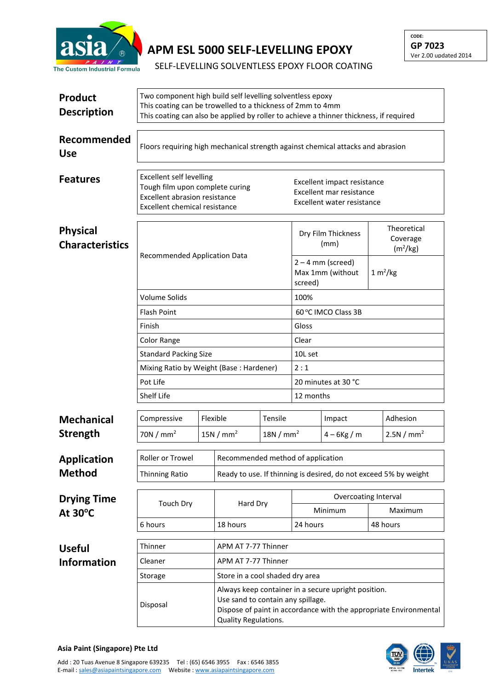

## **APM ESL 5000 SELF-LEVELLING EPOXY**

**CODE: GP 7023** Ver 2.00 updated 2014

SELF-LEVELLING SOLVENTLESS EPOXY FLOOR COATING

| <b>Product</b><br><b>Description</b>      | Two component high build self levelling solventless epoxy<br>This coating can be trowelled to a thickness of 2mm to 4mm<br>This coating can also be applied by roller to achieve a thinner thickness, if required |                                                     |                                                                  |                     |                                                                                       |                                         |                                                 |  |  |
|-------------------------------------------|-------------------------------------------------------------------------------------------------------------------------------------------------------------------------------------------------------------------|-----------------------------------------------------|------------------------------------------------------------------|---------------------|---------------------------------------------------------------------------------------|-----------------------------------------|-------------------------------------------------|--|--|
| Recommended<br><b>Use</b>                 | Floors requiring high mechanical strength against chemical attacks and abrasion                                                                                                                                   |                                                     |                                                                  |                     |                                                                                       |                                         |                                                 |  |  |
| <b>Features</b>                           | <b>Excellent self levelling</b><br>Tough film upon complete curing<br><b>Excellent abrasion resistance</b><br><b>Excellent chemical resistance</b>                                                                |                                                     |                                                                  |                     | Excellent impact resistance<br>Excellent mar resistance<br>Excellent water resistance |                                         |                                                 |  |  |
| <b>Physical</b><br><b>Characteristics</b> | Recommended Application Data                                                                                                                                                                                      |                                                     |                                                                  |                     | Dry Film Thickness<br>(mm)                                                            |                                         | Theoretical<br>Coverage<br>(m <sup>2</sup> /kg) |  |  |
|                                           |                                                                                                                                                                                                                   |                                                     |                                                                  |                     | screed)                                                                               | $2 - 4$ mm (screed)<br>Max 1mm (without | 1 m <sup>2</sup> /kg                            |  |  |
|                                           | <b>Volume Solids</b>                                                                                                                                                                                              |                                                     |                                                                  | 100%                |                                                                                       |                                         |                                                 |  |  |
|                                           | <b>Flash Point</b><br>Finish<br>Color Range<br><b>Standard Packing Size</b>                                                                                                                                       |                                                     |                                                                  |                     | 60 °C IMCO Class 3B                                                                   |                                         |                                                 |  |  |
|                                           |                                                                                                                                                                                                                   |                                                     |                                                                  |                     | Gloss                                                                                 |                                         |                                                 |  |  |
|                                           |                                                                                                                                                                                                                   |                                                     |                                                                  |                     | Clear                                                                                 |                                         |                                                 |  |  |
|                                           |                                                                                                                                                                                                                   |                                                     |                                                                  |                     | 10L set                                                                               |                                         |                                                 |  |  |
|                                           | Mixing Ratio by Weight (Base: Hardener)                                                                                                                                                                           |                                                     |                                                                  | 2:1                 |                                                                                       |                                         |                                                 |  |  |
|                                           | Pot Life                                                                                                                                                                                                          |                                                     |                                                                  | 20 minutes at 30 °C |                                                                                       |                                         |                                                 |  |  |
|                                           | Shelf Life                                                                                                                                                                                                        |                                                     |                                                                  |                     | 12 months                                                                             |                                         |                                                 |  |  |
| <b>Mechanical</b>                         | Compressive                                                                                                                                                                                                       | Flexible                                            |                                                                  | Tensile             |                                                                                       | Impact                                  | Adhesion                                        |  |  |
| <b>Strength</b>                           | 70N/mm <sup>2</sup>                                                                                                                                                                                               |                                                     | 15N/mm <sup>2</sup>                                              | 18N/mm <sup>2</sup> |                                                                                       | $4 - 6$ Kg / m                          | 2.5N/mm <sup>2</sup>                            |  |  |
| <b>Application</b><br><b>Method</b>       | Roller or Trowel                                                                                                                                                                                                  | Recommended method of application                   |                                                                  |                     |                                                                                       |                                         |                                                 |  |  |
|                                           | <b>Thinning Ratio</b>                                                                                                                                                                                             |                                                     | Ready to use. If thinning is desired, do not exceed 5% by weight |                     |                                                                                       |                                         |                                                 |  |  |
|                                           |                                                                                                                                                                                                                   |                                                     |                                                                  |                     |                                                                                       |                                         |                                                 |  |  |
| <b>Drying Time</b><br>At $30^{\circ}$ C   | <b>Touch Dry</b><br>6 hours                                                                                                                                                                                       |                                                     | Hard Dry<br>18 hours                                             |                     | Overcoating Interval<br>Minimum                                                       |                                         | Maximum                                         |  |  |
|                                           |                                                                                                                                                                                                                   |                                                     |                                                                  |                     | 24 hours                                                                              |                                         | 48 hours                                        |  |  |
|                                           |                                                                                                                                                                                                                   |                                                     |                                                                  |                     |                                                                                       |                                         |                                                 |  |  |
| <b>Useful</b>                             | Thinner                                                                                                                                                                                                           |                                                     | APM AT 7-77 Thinner                                              |                     |                                                                                       |                                         |                                                 |  |  |
| <b>Information</b>                        | Cleaner                                                                                                                                                                                                           |                                                     | APM AT 7-77 Thinner<br>Store in a cool shaded dry area           |                     |                                                                                       |                                         |                                                 |  |  |
|                                           | Storage                                                                                                                                                                                                           | Always keep container in a secure upright position. |                                                                  |                     |                                                                                       |                                         |                                                 |  |  |
|                                           | Use sand to contain any spillage.<br>Disposal<br>Dispose of paint in accordance with the appropriate Environmental<br>Quality Regulations.                                                                        |                                                     |                                                                  |                     |                                                                                       |                                         |                                                 |  |  |



## **Asia Paint (Singapore) Pte Ltd**